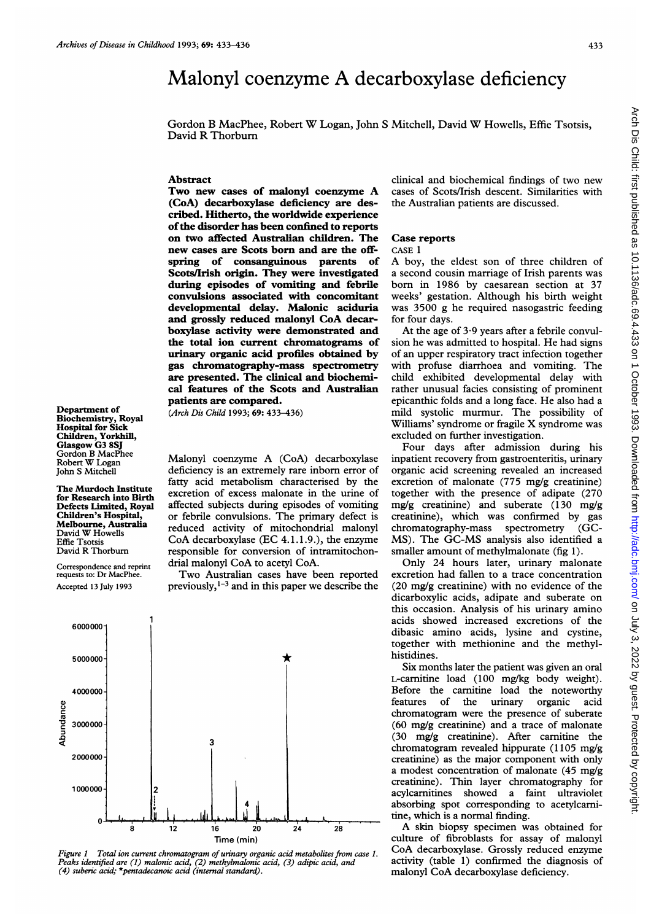Department of Biochemistry, Royal Hospital for Sick Children, Yorkhill, Glasgow G3 8SJ Gordon B MacPhee Robert W Logan John S Mitchell

The Murdoch Institute for Research into Birth Defects Limited, Royal Children's Hospital, Melbourne, Australia David W Howells Effie Tsotsis<br>David R Thorburn Correspondence and reprint requests to: Dr MacPhee. Accepted 13 July 1993

# Malonyl coenzyme A decarboxylase deficiency

Gordon <sup>B</sup> MacPhee, Robert W Logan, John <sup>S</sup> Mitchell, David W Howells, Effie Tsotsis, David R Thorburn

# Abstract

Two new cases of malonyl coenzyme A (CoA) decarboxylase deficiency are described. Hitherto, the worldwide experience ofthe disorder has been confined to reports on two affected Australian children. The new cases are Scots born and are the offspring of consanguinous parents of Scots/Irish origin. They were investigated during episodes of vomiting and febrile convulsions associated with concomitant developmental delay. Malonic aciduria and grossly reduced malonyl CoA decarboxylase activity were demonstrated and the total ion current chromatograms of urinary organic acid profiles obtained by gas chromatography-mass spectrometry are presented. The clinical and biochemical features of the Scots and Australian patients are compared.

(Arch Dis Child 1993; 69: 433-436)

Malonyl coenzyme A (CoA) decarboxylase deficiency is an extremely rare inborn error of fatty acid metabolism characterised by the excretion of excess malonate in the urine of affected subjects during episodes of vomiting or febrile convulsions. The primary defect is reduced activity of mitochondrial malonyl CoA decarboxylase (EC 4.1.1.9.), the enzyme responsible for conversion of intramitochondrial malonyl CoA to acetyl CoA.

Two Australian cases have been reported previously,  $1-3$  and in this paper we describe the



Figure 1 Total ion current chromatogram of urinary organic acid metabolites from case 1. Peaks identified are (1) malonic acid, (2) methylmalonic acid, (3) adipic acid, and (4) suberic acid; \*pentadecanoic acid (internal standard).

clinical and biochemical findings of two new cases of Scots/Irish descent. Similarities with the Australian patients are discussed.

# Case reports

#### CASE <sup>1</sup>

A boy, the eldest son of three children of a second cousin marriage of Irish parents was born in 1986 by caesarean section at 37 weeks' gestation. Although his birth weight was 3500 g he required nasogastric feeding for four days.

At the age of  $3.9$  years after a febrile convulsion he was admitted to hospital. He had signs of an upper respiratory tract infection together with profuse diarrhoea and vomiting. The child exhibited developmental delay with rather unusual facies consisting of prominent epicanthic folds and <sup>a</sup> long face. He also had <sup>a</sup> mild systolic murmur. The possibility of Williams' syndrome or fragile X syndrome was excluded on further investigation.

Four days after admission during his inpatient recovery from gastroenteritis, urinary organic acid screening revealed an increased excretion of malonate (775 mg/g creatinine) together with the presence of adipate (270 mg/g creatinine) and suberate (130 mg/g creatinine), which was confirmed by gas chromatography-mass spectrometry (GC-MS). The GC-MS analysis also identified <sup>a</sup> smaller amount of methylmalonate (fig 1).

Only 24 hours later, urinary malonate excretion had fallen to a trace concentration (20 mg/g creatinine) with no evidence of the dicarboxylic acids, adipate and suberate on this occasion. Analysis of his urinary amino acids showed increased excretions of the dibasic amino acids, lysine and cystine, together with methionine and the methylhistidines.

Six months later the patient was given an oral L-carnitine load (100 mg/kg body weight). Before the carnitine load the noteworthy features of the urinary organic acid chromatogram were the presence of suberate  $(60 \text{ mg/g}$  creatinine) and a trace of malonate (30 mg/g creatinine). After carnitine the chromatogram revealed hippurate (1105 mg/g creatinine) as the major component with only a modest concentration of malonate (45 mg/g creatinine). Thin layer chromatography for acylcarnitines showed a faint ultraviolet absorbing spot corresponding to acetylcarnitine, which is a normal finding.

A skin biopsy specimen was obtained for culture of fibroblasts for assay of malonyl CoA decarboxylase. Grossly reduced enzyme activity (table 1) confirmed the diagnosis of malonyl CoA decarboxylase deficiency.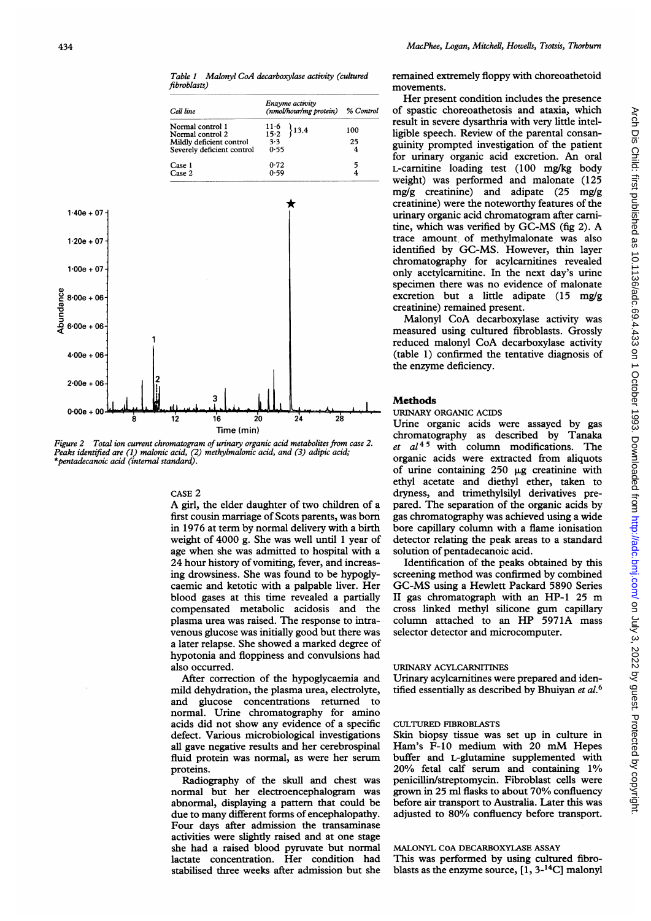Table 1 Malonyl CoA decarboxylase activity (cultured fibroblasts)

|                |                                                       | Cell line                                                                                      | Enzyme activity<br>(nmol/hour/mg protein) | % Control                    |
|----------------|-------------------------------------------------------|------------------------------------------------------------------------------------------------|-------------------------------------------|------------------------------|
|                |                                                       | Normal control 1<br>Normal control 2<br>Mildly deficient control<br>Severely deficient control | $11-6$<br>3.4<br>$15 - 2$<br>3.3<br>0.55  | 100<br>25<br>4               |
|                |                                                       | Case 1<br>Case 2                                                                               | 0.72<br>0.59                              | 5<br>$\overline{\mathbf{4}}$ |
| $1.40e + 07 -$ |                                                       |                                                                                                |                                           |                              |
| $1.20e + 07$   |                                                       |                                                                                                |                                           |                              |
| $1.00e + 07$   |                                                       |                                                                                                |                                           |                              |
|                |                                                       |                                                                                                |                                           |                              |
|                |                                                       |                                                                                                |                                           |                              |
| $4.00e + 06$   |                                                       |                                                                                                |                                           |                              |
| $2.00e + 06$   |                                                       |                                                                                                |                                           |                              |
| $0.00e + 00$   | ġ                                                     |                                                                                                | 24                                        |                              |
|                |                                                       |                                                                                                |                                           |                              |
|                | e<br>dand<br>dig<br>$5.00e + 06$<br>d<br>$6.00e + 06$ |                                                                                                | 12<br>16                                  | 28<br>20                     |

Figure 2 Total ion current chromatogram of urinary organic acid metabolites from case 2. Peaks identified are (1) malonic acid, (2) methylmalonic acid, and (3) adip \*pentadecanoic acid (internal standard).

#### CASE 2

A girl, the elder daughter of two first cousin marriage of Scots parents, was born in 1976 at term by normal delivery with a birth weight of 4000 g. She was well until 1 year of age when she was admitted to hospital with a 24 hour history of vomiting, fever, and increasing drowsiness. She was found to caemic and ketotic with a palpab blood gases at this time revealed a partially compensated metabolic acidosi plasma urea was raised. The response to intravenous glucose was initially good but there was a later relapse. She showed a marked degree of hypotonia and floppiness and convulsions had also occurred.

After correction of the hypoglycaemia and mild dehydration, the plasma urea l, electrolyte, and glucose concentrations <sup>r</sup> returned to normal. Urine chromatography for amino acids did not show any evidence of a specific defect. Various microbiological investigations all gave negative results and her <sup>c</sup> erebrospinal fluid protein was normal, as wer e her serum proteins.

Radiography of the skull and chest was normal but her electroencephalogram was abnormal, displaying a pattern that could be due to many different forms of enc ephalopathy. Four days after admission the transaminase activities were slightly raised and at one stage she had a raised blood pyruvate but normal lactate concentration. Her condition had stabilised three weeks after admission but she remained extremely floppy with choreoathetoid movements.

Her present condition includes the presence of spastic choreoathetosis and ataxia, which result in severe dysarthria with very little intelligible speech. Review of the parental consan-<sup>25</sup> guinity prompted investigation of the patient for urinary organic acid excretion. An oral L-carnitine loading test (100 mg/kg body weight) was performed and malonate (125 mg/g creatinine) and adipate (25 mg/g creatinine) were the noteworthy features of the urinary organic acid chromatogram after carnitine, which was verified by GC-MS (fig 2). A trace amount, of methylmalonate was also identified by GC-MS. However, thin layer chromatography for acylcarnitines revealed only acetylcarnitine. In the next day's urine specimen there was no evidence of malonate excretion but a little adipate (15 mg/g creatinine) remained present.

Malonyl CoA decarboxylase activity was measured using cultured fibroblasts. Grossly reduced malonyl CoA decarboxylase activity (table 1) confirmed the tentative diagnosis of the enzyme deficiency.

# **Methods**

### URINARY ORGANIC ACIDS

Urine organic acids were assayed by gas chromatography as described by Tanaka et  $al^{45}$  with column modifications. The organic acids were extracted from aliquots of urine containing  $250 \mu g$  creatinine with ethyl acetate and diethyl ether, taken to dryness, and trimethylsilyl derivatives prepared. The separation of the organic acids by gas chromatography was achieved using a wide bore capillary column with a flame ionisation detector relating the peak areas to a standard solution of pentadecanoic acid.

Identification of the peaks obtained by this screening method was confirmed by combined GC-MS using a Hewlett Packard 5890 Series. II gas chromatograph with an HP-1 25 m is and the cross linked methyl silicone gum capillary )nse to intra- column attached to an HP 5971A mass selector detector and microcomputer.

# URINARY ACYLCARNITINES

Urinary acylcarnitines were prepared and identified essentially as described by Bhuiyan et al.<sup>6</sup>

# CULTURED FIBROBLASTS

Skin biopsy tissue was set up in culture in Ham's F-10 medium with <sup>20</sup> mM Hepes buffer and L-glutamine supplemented with 20% fetal calf serum and containing 1% penicillin/streptomycin. Fibroblast cells were grown in 25 ml flasks to about 70% confluency before air transport to Australia. Later this was adjusted to 80% confluency before transport.

# MALONYL COA DECARBOXYLASE ASSAY This was performed by using cultured fibroblasts as the enzyme source, [1, 3-14C] malonyl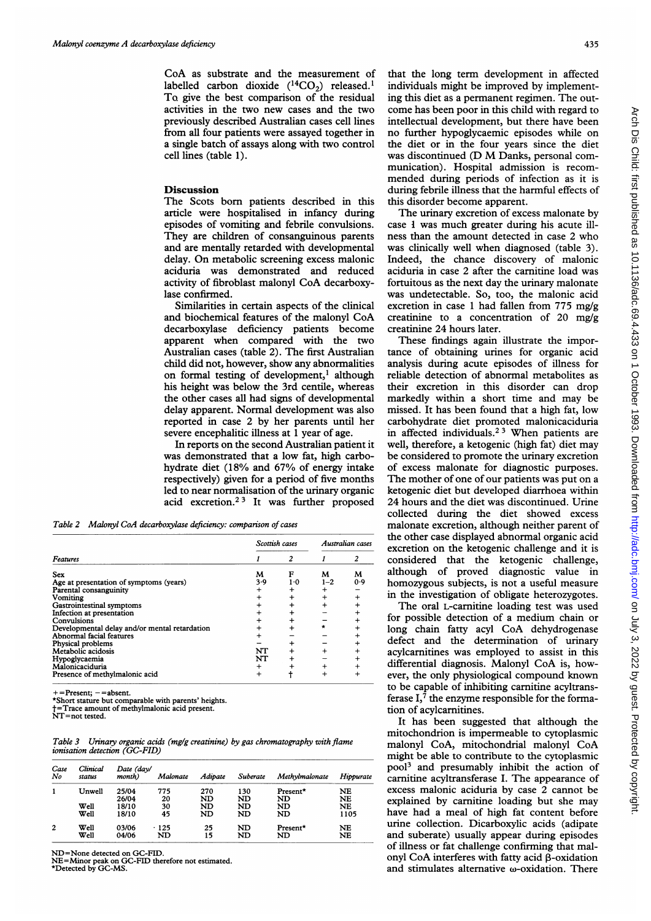CoA as substrate and the measurement of labelled carbon dioxide  $(^{14}CO_{2})$  released.<sup>1</sup> To give the best comparison of the residual activities in the two new cases and the two previously described Australian cases cell lines from all four patients were assayed together in a single batch of assays along with two control cell lines (table 1).

#### **Discussion**

The Scots born patients described in this article were hospitalised in infancy during episodes of vomiting and febrile convulsions. They are children of consanguinous parents and are mentally retarded with developmental delay. On metabolic screening excess malonic aciduria was demonstrated and reduced activity of fibroblast malonyl CoA decarboxylase confirmed.

Similarities in certain aspects of the clinical and biochemical features of the malonyl CoA decarboxylase defi iciency patients become creatinine 24 hours later. apparent when compared with the two Australian cases (table 2). The first Australian child did not, however, show any abnormalities on formal testing of development,<sup>1</sup> although his height was below the 3rd centile, whereas the other cases all had signs of developmental delay apparent. Normal development was also reported in case 2 by her parents until her severe encephalitic illness at 1 year of age.

In reports on the second Australian patient it was demonstrated that a low fat, high carbohydrate diet (18% and 67% of energy intake respectively) given for a period of five months led to near normalisation of the urinary organic acid excretion.<sup>23</sup> It was further proposed

Table 2 Malonyl CoA decarboxylase deficiency: comparison of cases

|                                               | Scottish cases | Australian cases |         |     |
|-----------------------------------------------|----------------|------------------|---------|-----|
| Features                                      |                |                  |         |     |
| <b>Sex</b>                                    | M              | F                | M       | M   |
| Age at presentation of symptoms (years)       | 3.9            | $1-0$            | $1 - 2$ | 0.9 |
| Parental consanguinity                        |                |                  |         |     |
| Vomiting                                      |                |                  |         |     |
| Gastrointestinal symptoms                     |                |                  |         |     |
| Infection at presentation                     |                |                  |         |     |
| Convulsions                                   |                |                  |         |     |
| Developmental delay and/or mental retardation |                |                  |         |     |
| Abnormal facial features                      |                |                  |         |     |
| Physical problems                             |                |                  |         |     |
| Metabolic acidosis                            | NT             |                  |         |     |
| Hypoglycaemia                                 | NT             |                  |         |     |
| Malonicaciduria                               |                |                  |         |     |
| Presence of methylmalonic acid                |                |                  |         |     |

 $+$  = Present;  $-$  = absent.

\*Short stature but comparable with parents' heights.

t=Trace amount of methylmalonic acid present. NT=not tested.

Table 3 Urinary organic acids (mg/g creatinine) by gas chromatography with flame ionisation detection (GC-FID)

| Case<br>No     | Clinical<br>status | Date (day/<br>month) | Malonate     | Adipate  | Suberate | Methylmalonate | Hippurate |
|----------------|--------------------|----------------------|--------------|----------|----------|----------------|-----------|
|                | Unwell             | 25/04                | 775          | 270      | 130      | Present*       | NE        |
|                |                    | 26/04                | 20           | ND       | ND       | ND             | NE        |
|                | Well               | 18/10                | 30           | ND       | ND       | ND             | NE        |
|                | Well               | 18/10                | 45           | ND       | ND       | ND             | 1105      |
| $\overline{2}$ | Well<br>Well       | 03/06<br>04/06       | $+125$<br>ND | 25<br>15 | ND<br>ND | Present*<br>ND | NE<br>NE  |

ND=None detected on GC-FID.

NE=Minor peak on GC-FID therefore not estimated. \*Detected by GC-MS.

that the long term development in affected individuals might be improved by implementing this diet as a permanent regimen. The outcome has been poor in this child with regard to intellectual development, but there have been no further hypoglycaemic episodes while on the diet or in the four years since the diet was discontinued (D M Danks, personal communication). Hospital admission is recommended during periods of infection as it is during febrile illness that the harmful effects of this disorder become apparent.

The urinary excretion of excess malonate by case 1 was much greater during his acute illness than the amount detected in case 2 who was clinically well when diagnosed (table 3). Indeed, the chance discovery of malonic aciduria in case 2 after the carnitine load was fortuitous as the next day the urinary malonate was undetectable. So, too, the malonic acid excretion in case 1 had fallen from 775 mg/g creatinine to a concentration of 20 mg/g creatinine 24 hours later.

These findings again illustrate the importance of obtaining urines for organic acid analysis during acute episodes of illness for reliable detection of abnormal metabolites as their excretion in this disorder can drop markedly within a short time and may be missed. It has been found that a high fat, low carbohydrate diet promoted malonicaciduria in affected individuals.<sup>23</sup> When patients are well, therefore, a ketogenic (high fat) diet may be considered to promote the urinary excretion of excess malonate for diagnostic purposes. The mother of one of our patients was put on a ketogenic diet but developed diarrhoea within 24 hours and the diet was discontinued. Urine collected during the diet showed excess malonate excretion, although neither parent of the other case displayed abnormal organic acid excretion on the ketogenic challenge and it is considered that the ketogenic challenge, although of proved diagnostic value in homozygous subjects, is not a useful measure in the investigation of obligate heterozygotes.

The oral L-carnitine loading test was used for possible detection of a medium chain or long chain fatty acyl CoA dehydrogenase defect and the determination of urinary acylcarnitines was employed to assist in this differential diagnosis. Malonyl CoA is, however, the only physiological compound known to be capable of inhibiting carnitine acyltransferase I,7 the enzyme responsible for the formation of acylcarnitines.

It has been suggested that although the mitochondrion is impermeable to cytoplasmic malonyl CoA, mitochondrial malonyl CoA might be able to contribute to the cytoplasmic pool3 and presumably inhibit the action of carnitine acyltransferase I. The appearance of excess malonic aciduria by case 2 cannot be explained by carnitine loading but she may have had a meal of high fat content before urine collection. Dicarboxylic acids (adipate and suberate) usually appear during episodes of illness or fat challenge confirming that malonyl CoA interferes with fatty acid 3-oxidation and stimulates alternative  $\omega$ -oxidation. There